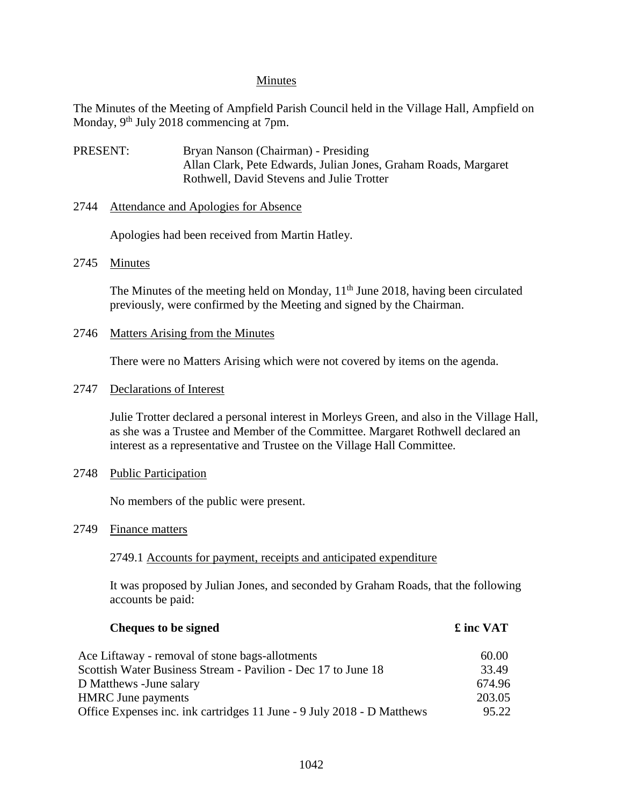### Minutes

The Minutes of the Meeting of Ampfield Parish Council held in the Village Hall, Ampfield on Monday, 9<sup>th</sup> July 2018 commencing at 7pm.

- PRESENT: Bryan Nanson (Chairman) Presiding Allan Clark, Pete Edwards, Julian Jones, Graham Roads, Margaret Rothwell, David Stevens and Julie Trotter
- 2744 Attendance and Apologies for Absence

Apologies had been received from Martin Hatley.

2745 Minutes

The Minutes of the meeting held on Monday, 11<sup>th</sup> June 2018, having been circulated previously, were confirmed by the Meeting and signed by the Chairman.

2746 Matters Arising from the Minutes

There were no Matters Arising which were not covered by items on the agenda.

2747 Declarations of Interest

Julie Trotter declared a personal interest in Morleys Green, and also in the Village Hall, as she was a Trustee and Member of the Committee. Margaret Rothwell declared an interest as a representative and Trustee on the Village Hall Committee.

2748 Public Participation

No members of the public were present.

2749 Finance matters

2749.1 Accounts for payment, receipts and anticipated expenditure

It was proposed by Julian Jones, and seconded by Graham Roads, that the following accounts be paid:

| <b>Cheques to be signed</b>                                            | £ inc VAT |
|------------------------------------------------------------------------|-----------|
| Ace Liftaway - removal of stone bags-allotments                        | 60.00     |
| Scottish Water Business Stream - Pavilion - Dec 17 to June 18          | 33.49     |
| D Matthews - June salary                                               | 674.96    |
| <b>HMRC</b> June payments                                              | 203.05    |
| Office Expenses inc. ink cartridges 11 June - 9 July 2018 - D Matthews | 95.22     |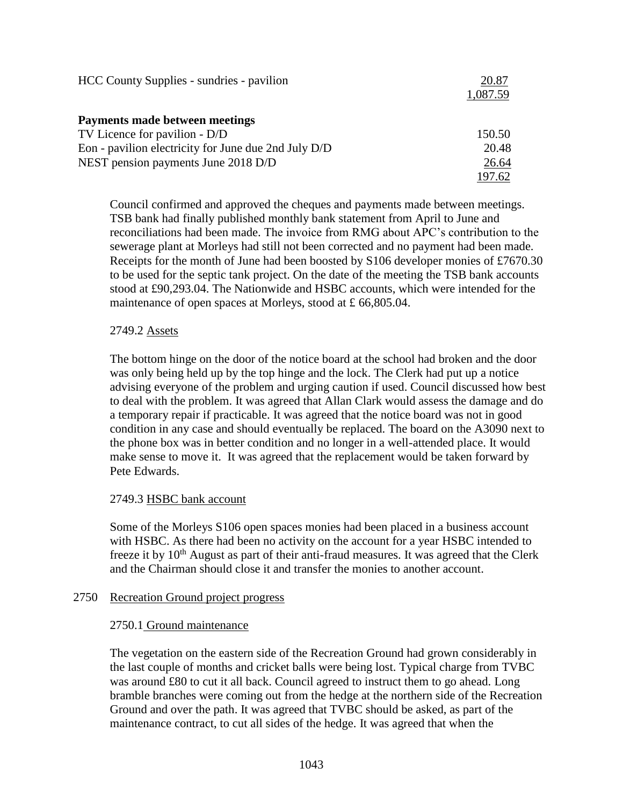| HCC County Supplies - sundries - pavilion            | 20.87    |
|------------------------------------------------------|----------|
|                                                      | 1,087.59 |
| Payments made between meetings                       |          |
| TV Licence for pavilion - D/D                        | 150.50   |
| Eon - pavilion electricity for June due 2nd July D/D | 20.48    |
| NEST pension payments June 2018 D/D                  | 26.64    |
|                                                      | 197.62   |

Council confirmed and approved the cheques and payments made between meetings. TSB bank had finally published monthly bank statement from April to June and reconciliations had been made. The invoice from RMG about APC's contribution to the sewerage plant at Morleys had still not been corrected and no payment had been made. Receipts for the month of June had been boosted by S106 developer monies of £7670.30 to be used for the septic tank project. On the date of the meeting the TSB bank accounts stood at £90,293.04. The Nationwide and HSBC accounts, which were intended for the maintenance of open spaces at Morleys, stood at £ 66,805.04.

## 2749.2 Assets

The bottom hinge on the door of the notice board at the school had broken and the door was only being held up by the top hinge and the lock. The Clerk had put up a notice advising everyone of the problem and urging caution if used. Council discussed how best to deal with the problem. It was agreed that Allan Clark would assess the damage and do a temporary repair if practicable. It was agreed that the notice board was not in good condition in any case and should eventually be replaced. The board on the A3090 next to the phone box was in better condition and no longer in a well-attended place. It would make sense to move it. It was agreed that the replacement would be taken forward by Pete Edwards.

## 2749.3 HSBC bank account

Some of the Morleys S106 open spaces monies had been placed in a business account with HSBC. As there had been no activity on the account for a year HSBC intended to freeze it by  $10<sup>th</sup>$  August as part of their anti-fraud measures. It was agreed that the Clerk and the Chairman should close it and transfer the monies to another account.

### 2750 Recreation Ground project progress

### 2750.1 Ground maintenance

The vegetation on the eastern side of the Recreation Ground had grown considerably in the last couple of months and cricket balls were being lost. Typical charge from TVBC was around £80 to cut it all back. Council agreed to instruct them to go ahead. Long bramble branches were coming out from the hedge at the northern side of the Recreation Ground and over the path. It was agreed that TVBC should be asked, as part of the maintenance contract, to cut all sides of the hedge. It was agreed that when the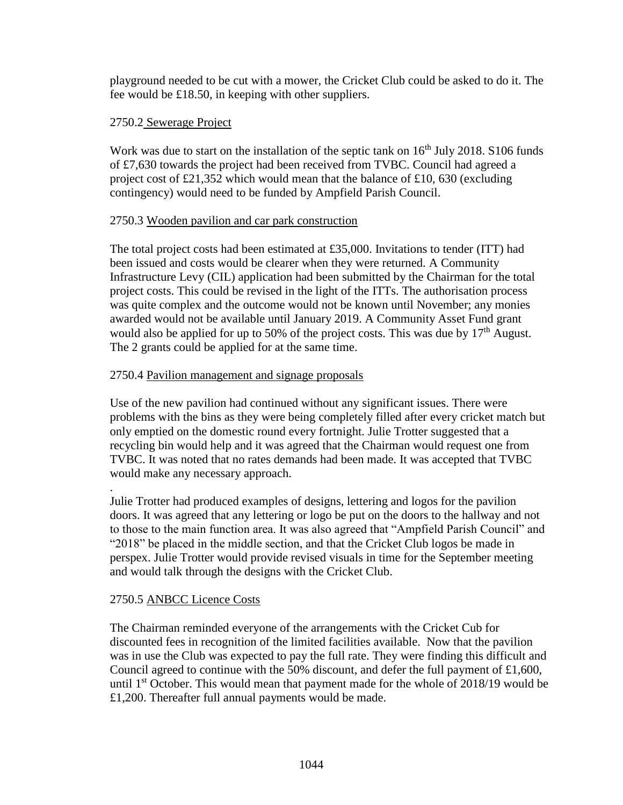playground needed to be cut with a mower, the Cricket Club could be asked to do it. The fee would be £18.50, in keeping with other suppliers.

## 2750.2 Sewerage Project

Work was due to start on the installation of the septic tank on  $16<sup>th</sup>$  July 2018. S106 funds of £7,630 towards the project had been received from TVBC. Council had agreed a project cost of £21,352 which would mean that the balance of £10, 630 (excluding contingency) would need to be funded by Ampfield Parish Council.

## 2750.3 Wooden pavilion and car park construction

The total project costs had been estimated at £35,000. Invitations to tender (ITT) had been issued and costs would be clearer when they were returned. A Community Infrastructure Levy (CIL) application had been submitted by the Chairman for the total project costs. This could be revised in the light of the ITTs. The authorisation process was quite complex and the outcome would not be known until November; any monies awarded would not be available until January 2019. A Community Asset Fund grant would also be applied for up to 50% of the project costs. This was due by  $17<sup>th</sup>$  August. The 2 grants could be applied for at the same time.

## 2750.4 Pavilion management and signage proposals

Use of the new pavilion had continued without any significant issues. There were problems with the bins as they were being completely filled after every cricket match but only emptied on the domestic round every fortnight. Julie Trotter suggested that a recycling bin would help and it was agreed that the Chairman would request one from TVBC. It was noted that no rates demands had been made. It was accepted that TVBC would make any necessary approach.

. Julie Trotter had produced examples of designs, lettering and logos for the pavilion doors. It was agreed that any lettering or logo be put on the doors to the hallway and not to those to the main function area. It was also agreed that "Ampfield Parish Council" and "2018" be placed in the middle section, and that the Cricket Club logos be made in perspex. Julie Trotter would provide revised visuals in time for the September meeting and would talk through the designs with the Cricket Club.

### 2750.5 ANBCC Licence Costs

The Chairman reminded everyone of the arrangements with the Cricket Cub for discounted fees in recognition of the limited facilities available. Now that the pavilion was in use the Club was expected to pay the full rate. They were finding this difficult and Council agreed to continue with the 50% discount, and defer the full payment of  $\pounds1,600$ , until  $1<sup>st</sup> October. This would mean that payment made for the whole of 2018/19 would be$ £1,200. Thereafter full annual payments would be made.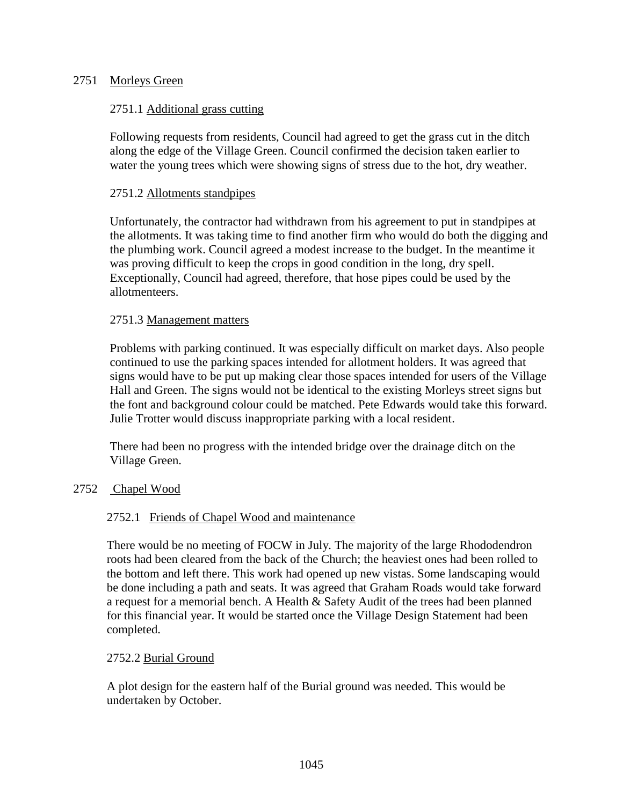## 2751 Morleys Green

## 2751.1 Additional grass cutting

Following requests from residents, Council had agreed to get the grass cut in the ditch along the edge of the Village Green. Council confirmed the decision taken earlier to water the young trees which were showing signs of stress due to the hot, dry weather.

### 2751.2 Allotments standpipes

Unfortunately, the contractor had withdrawn from his agreement to put in standpipes at the allotments. It was taking time to find another firm who would do both the digging and the plumbing work. Council agreed a modest increase to the budget. In the meantime it was proving difficult to keep the crops in good condition in the long, dry spell. Exceptionally, Council had agreed, therefore, that hose pipes could be used by the allotmenteers.

### 2751.3 Management matters

Problems with parking continued. It was especially difficult on market days. Also people continued to use the parking spaces intended for allotment holders. It was agreed that signs would have to be put up making clear those spaces intended for users of the Village Hall and Green. The signs would not be identical to the existing Morleys street signs but the font and background colour could be matched. Pete Edwards would take this forward. Julie Trotter would discuss inappropriate parking with a local resident.

There had been no progress with the intended bridge over the drainage ditch on the Village Green.

### 2752 Chapel Wood

### 2752.1 Friends of Chapel Wood and maintenance

There would be no meeting of FOCW in July. The majority of the large Rhododendron roots had been cleared from the back of the Church; the heaviest ones had been rolled to the bottom and left there. This work had opened up new vistas. Some landscaping would be done including a path and seats. It was agreed that Graham Roads would take forward a request for a memorial bench. A Health & Safety Audit of the trees had been planned for this financial year. It would be started once the Village Design Statement had been completed.

### 2752.2 Burial Ground

A plot design for the eastern half of the Burial ground was needed. This would be undertaken by October.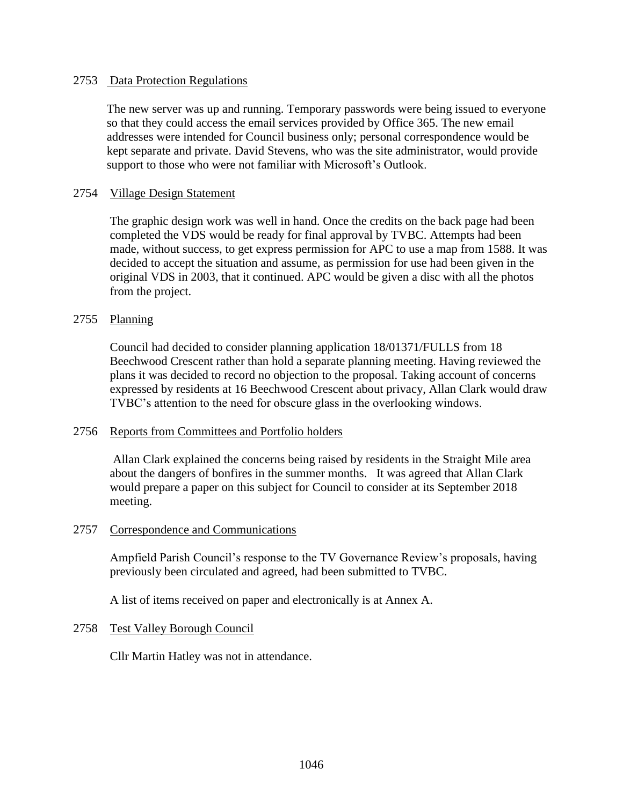#### 2753 Data Protection Regulations

The new server was up and running. Temporary passwords were being issued to everyone so that they could access the email services provided by Office 365. The new email addresses were intended for Council business only; personal correspondence would be kept separate and private. David Stevens, who was the site administrator, would provide support to those who were not familiar with Microsoft's Outlook.

#### 2754 Village Design Statement

The graphic design work was well in hand. Once the credits on the back page had been completed the VDS would be ready for final approval by TVBC. Attempts had been made, without success, to get express permission for APC to use a map from 1588. It was decided to accept the situation and assume, as permission for use had been given in the original VDS in 2003, that it continued. APC would be given a disc with all the photos from the project.

#### 2755 Planning

Council had decided to consider planning application 18/01371/FULLS from 18 Beechwood Crescent rather than hold a separate planning meeting. Having reviewed the plans it was decided to record no objection to the proposal. Taking account of concerns expressed by residents at 16 Beechwood Crescent about privacy, Allan Clark would draw TVBC's attention to the need for obscure glass in the overlooking windows.

### 2756 Reports from Committees and Portfolio holders

Allan Clark explained the concerns being raised by residents in the Straight Mile area about the dangers of bonfires in the summer months. It was agreed that Allan Clark would prepare a paper on this subject for Council to consider at its September 2018 meeting.

#### 2757 Correspondence and Communications

Ampfield Parish Council's response to the TV Governance Review's proposals, having previously been circulated and agreed, had been submitted to TVBC.

A list of items received on paper and electronically is at Annex A.

#### 2758 Test Valley Borough Council

Cllr Martin Hatley was not in attendance.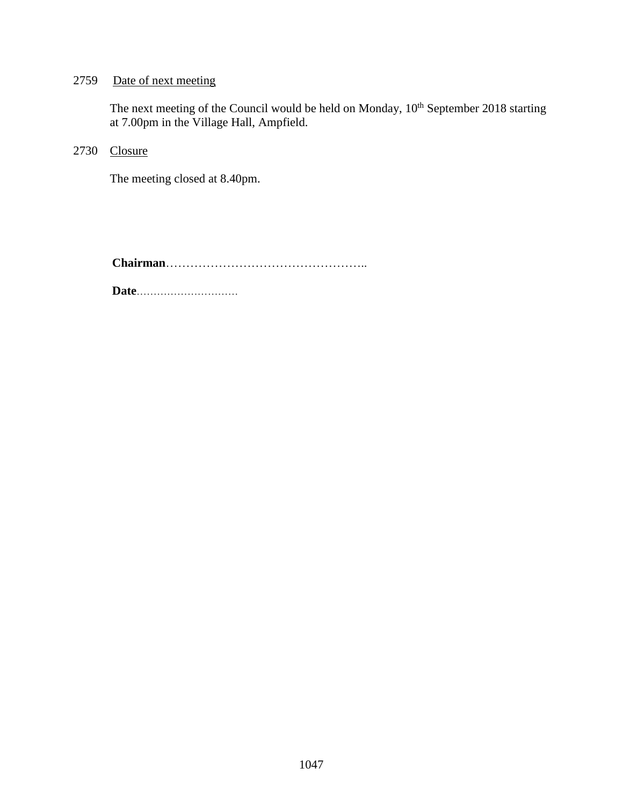## 2759 Date of next meeting

The next meeting of the Council would be held on Monday,  $10^{th}$  September 2018 starting at 7.00pm in the Village Hall, Ampfield.

2730 Closure

The meeting closed at 8.40pm.

**Chairman**…………………………………………..

**Date**…………………………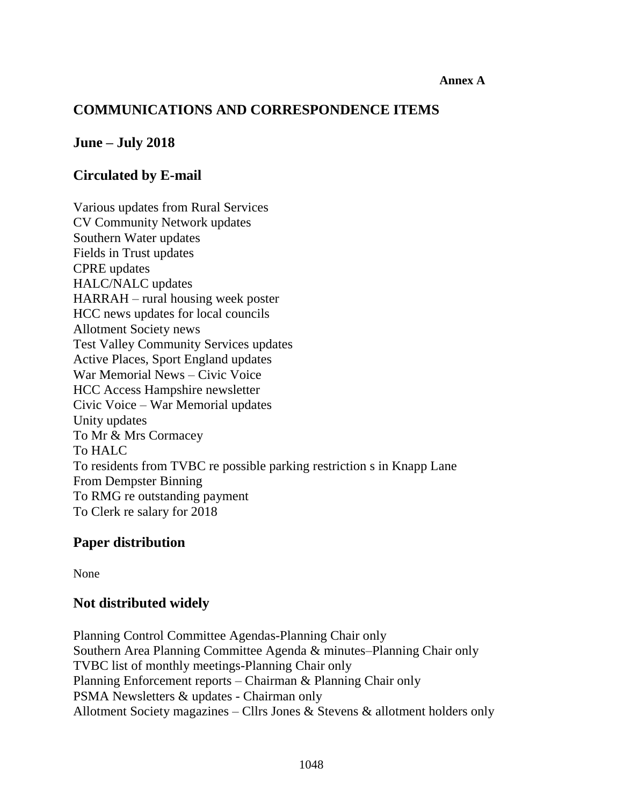### **Annex A**

# **COMMUNICATIONS AND CORRESPONDENCE ITEMS**

## **June – July 2018**

# **Circulated by E-mail**

Various updates from Rural Services CV Community Network updates Southern Water updates Fields in Trust updates CPRE updates HALC/NALC updates HARRAH – rural housing week poster HCC news updates for local councils Allotment Society news Test Valley Community Services updates Active Places, Sport England updates War Memorial News – Civic Voice HCC Access Hampshire newsletter Civic Voice – War Memorial updates Unity updates To Mr & Mrs Cormacey To HALC To residents from TVBC re possible parking restriction s in Knapp Lane From Dempster Binning To RMG re outstanding payment To Clerk re salary for 2018

## **Paper distribution**

None

## **Not distributed widely**

Planning Control Committee Agendas-Planning Chair only Southern Area Planning Committee Agenda & minutes–Planning Chair only TVBC list of monthly meetings-Planning Chair only Planning Enforcement reports – Chairman & Planning Chair only PSMA Newsletters & updates - Chairman only Allotment Society magazines – Cllrs Jones & Stevens & allotment holders only